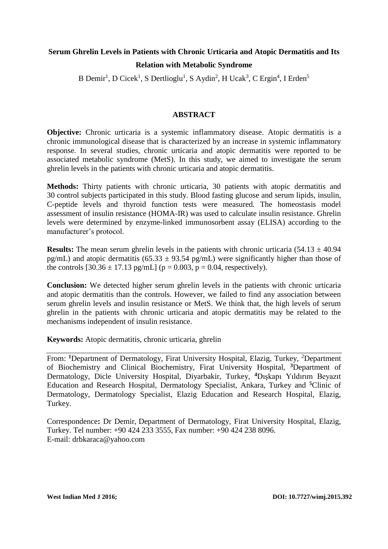# **Serum Ghrelin Levels in Patients with Chronic Urticaria and Atopic Dermatitis and Its Relation with Metabolic Syndrome**

B Demir<sup>1</sup>, D Cicek<sup>1</sup>, S Dertlioglu<sup>1</sup>, S Aydin<sup>2</sup>, H Ucak<sup>3</sup>, C Ergin<sup>4</sup>, I Erden<sup>5</sup>

## **ABSTRACT**

**Objective:** Chronic urticaria is a systemic inflammatory disease. Atopic dermatitis is a chronic immunological disease that is characterized by an increase in systemic inflammatory response. In several studies, chronic urticaria and atopic dermatitis were reported to be associated metabolic syndrome (MetS). In this study, we aimed to investigate the serum ghrelin levels in the patients with chronic urticaria and atopic dermatitis.

**Methods:** Thirty patients with chronic urticaria, 30 patients with atopic dermatitis and 30 control subjects participated in this study. Blood fasting glucose and serum lipids, insulin, C-peptide levels and thyroid function tests were measured. The homeostasis model assessment of insulin resistance (HOMA-IR) was used to calculate insulin resistance. Ghrelin levels were determined by enzyme-linked immunosorbent assay (ELISA) according to the manufacturer's protocol.

**Results:** The mean serum ghrelin levels in the patients with chronic urticaria  $(54.13 \pm 40.94)$ pg/mL) and atopic dermatitis (65.33  $\pm$  93.54 pg/mL) were significantly higher than those of the controls  $[30.36 \pm 17.13 \text{ pg/mL}]$  ( $p = 0.003$ ,  $p = 0.04$ , respectively).

**Conclusion:** We detected higher serum ghrelin levels in the patients with chronic urticaria and atopic dermatitis than the controls. However, we failed to find any association between serum ghrelin levels and insulin resistance or MetS. We think that, the high levels of serum ghrelin in the patients with chronic urticaria and atopic dermatitis may be related to the mechanisms independent of insulin resistance.

**Keywords:** Atopic dermatitis, chronic urticaria, ghrelin

From: <sup>1</sup>Department of Dermatology, Firat University Hospital, Elazig, Turkey, <sup>2</sup>Department of Biochemistry and Clinical Biochemistry, Firat University Hospital, **<sup>3</sup>**Department of Dermatology, Dicle University Hospital, Diyarbakir, Turkey, **<sup>4</sup>**Dışkapı Yıldırım Beyazıt Education and Research Hospital, Dermatology Specialist, Ankara, Turkey and **<sup>5</sup>**Clinic of Dermatology, Dermatology Specialist, Elazig Education and Research Hospital, Elazig, Turkey.

Correspondence**:** Dr Demir, Department of Dermatology, Firat University Hospital, Elazig, Turkey. Tel number: +90 424 233 3555, Fax number: +90 424 238 8096. E-mail: drbkaraca@yahoo.com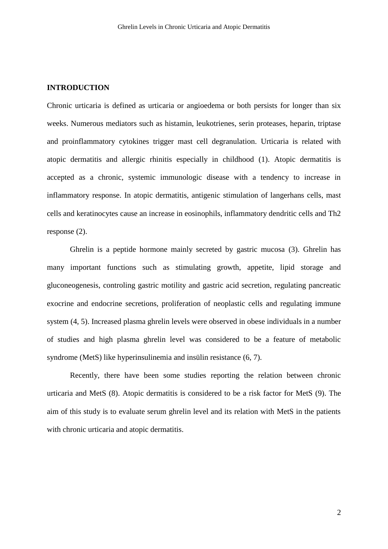#### **INTRODUCTION**

Chronic urticaria is defined as urticaria or angioedema or both persists for longer than six weeks. Numerous mediators such as histamin, leukotrienes, serin proteases, heparin, triptase and proinflammatory cytokines trigger mast cell degranulation. Urticaria is related with atopic dermatitis and allergic rhinitis especially in childhood (1). Atopic dermatitis is accepted as a chronic, systemic immunologic disease with a tendency to increase in inflammatory response. In atopic dermatitis, antigenic stimulation of langerhans cells, mast cells and keratinocytes cause an increase in eosinophils, inflammatory dendritic cells and Th2 response (2).

Ghrelin is a peptide hormone mainly secreted by gastric mucosa (3). Ghrelin has many important functions such as stimulating growth, appetite, lipid storage and gluconeogenesis, controling gastric motility and gastric acid secretion, regulating pancreatic exocrine and endocrine secretions, proliferation of neoplastic cells and regulating immune system (4, 5). Increased plasma ghrelin levels were observed in obese individuals in a number of studies and high plasma ghrelin level was considered to be a feature of metabolic syndrome (MetS) like hyperinsulinemia and insülin resistance (6, 7).

Recently, there have been some studies reporting the relation between chronic urticaria and MetS (8). Atopic dermatitis is considered to be a risk factor for MetS (9). The aim of this study is to evaluate serum ghrelin level and its relation with MetS in the patients with chronic urticaria and atopic dermatitis.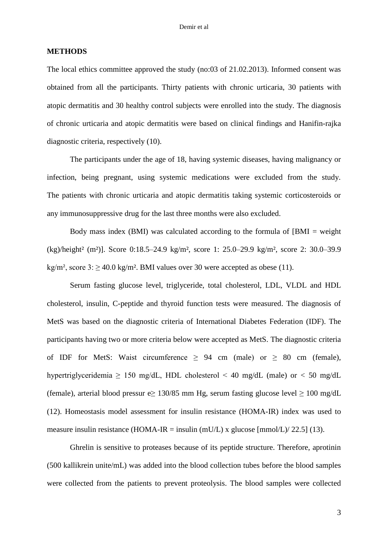#### **METHODS**

The local ethics committee approved the study (no:03 of 21.02.2013). Informed consent was obtained from all the participants. Thirty patients with chronic urticaria, 30 patients with atopic dermatitis and 30 healthy control subjects were enrolled into the study. The diagnosis of chronic urticaria and atopic dermatitis were based on clinical findings and Hanifin-rajka diagnostic criteria, respectively (10).

The participants under the age of 18, having systemic diseases, having malignancy or infection, being pregnant, using systemic medications were excluded from the study. The patients with chronic urticaria and atopic dermatitis taking systemic corticosteroids or any immunosuppressive drug for the last three months were also excluded.

Body mass index (BMI) was calculated according to the formula of [BMI = weight (kg)/height² (m²)]. Score 0:18.5‒24.9 kg/m², score 1: 25.0‒29.9 kg/m², score 2: 30.0‒39.9 kg/m<sup>2</sup>, score  $3: \geq 40.0$  kg/m<sup>2</sup>. BMI values over 30 were accepted as obese (11).

Serum fasting glucose level, triglyceride, total cholesterol, LDL, VLDL and HDL cholesterol, insulin, C-peptide and thyroid function tests were measured. The diagnosis of MetS was based on the diagnostic criteria of International Diabetes Federation (IDF). The participants having two or more criteria below were accepted as MetS. The diagnostic criteria of IDF for MetS: Waist circumference  $\geq$  94 cm (male) or  $\geq$  80 cm (female), hypertriglyceridemia  $\geq$  150 mg/dL, HDL cholesterol < 40 mg/dL (male) or < 50 mg/dL (female), arterial blood pressur e $\geq$  130/85 mm Hg, serum fasting glucose level  $\geq$  100 mg/dL (12). Homeostasis model assessment for insulin resistance (HOMA-IR) index was used to measure insulin resistance (HOMA-IR = insulin (mU/L) x glucose  $\text{[mmol/L]}$ /22.5] (13).

Ghrelin is sensitive to proteases because of its peptide structure. Therefore, aprotinin (500 kallikrein unite/mL) was added into the blood collection tubes before the blood samples were collected from the patients to prevent proteolysis. The blood samples were collected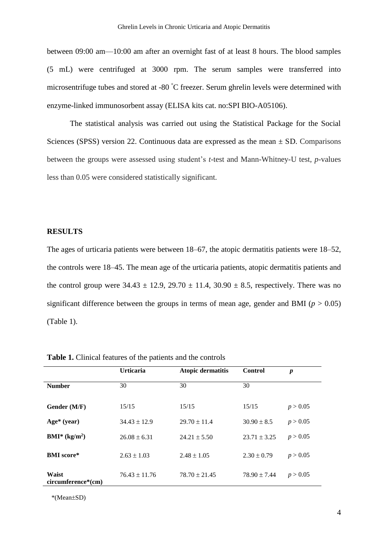between 09:00 am—10:00 am after an overnight fast of at least 8 hours. The blood samples (5 mL) were centrifuged at 3000 rpm. The serum samples were transferred into microsentrifuge tubes and stored at -80 °C freezer. Serum ghrelin levels were determined with enzyme-linked immunosorbent assay (ELISA kits cat. no:SPI BIO-A05106).

The statistical analysis was carried out using the Statistical Package for the Social Sciences (SPSS) version 22. Continuous data are expressed as the mean  $\pm$  SD. Comparisons between the groups were assessed using student's *t*-test and Mann-Whitney-U test, *p*-values less than 0.05 were considered statistically significant.

## **RESULTS**

The ages of urticaria patients were between 18–67, the atopic dermatitis patients were 18–52, the controls were 18‒45. The mean age of the urticaria patients, atopic dermatitis patients and the control group were  $34.43 \pm 12.9$ ,  $29.70 \pm 11.4$ ,  $30.90 \pm 8.5$ , respectively. There was no significant difference between the groups in terms of mean age, gender and BMI ( $p > 0.05$ ) (Table 1).

|                             | <b>Urticaria</b>  | Atopic dermatitis | <b>Control</b>   | $\boldsymbol{p}$ |
|-----------------------------|-------------------|-------------------|------------------|------------------|
| <b>Number</b>               | 30                | 30                | 30               |                  |
| Gender (M/F)                | 15/15             | 15/15             | 15/15            | p > 0.05         |
| $Age* (year)$               | $34.43 \pm 12.9$  | $29.70 \pm 11.4$  | $30.90 \pm 8.5$  | p > 0.05         |
| $BMI^*(kg/m^2)$             | $26.08 \pm 6.31$  | $24.21 \pm 5.50$  | $23.71 \pm 3.25$ | p > 0.05         |
| <b>BMI</b> score*           | $2.63 \pm 1.03$   | $2.48 \pm 1.05$   | $2.30 \pm 0.79$  | p > 0.05         |
| Waist<br>circumference*(cm) | $76.43 \pm 11.76$ | $78.70 \pm 21.45$ | $78.90 \pm 7.44$ | p > 0.05         |

**Table 1.** Clinical features of the patients and the controls

\*(Mean±SD)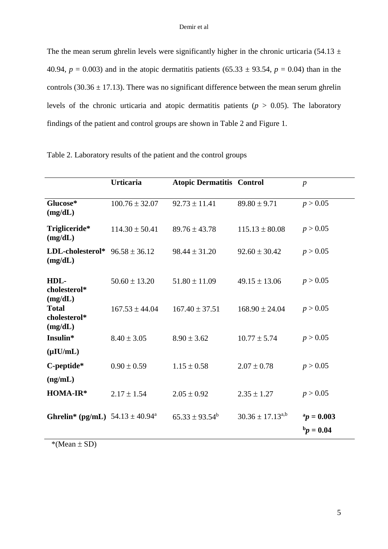The the mean serum ghrelin levels were significantly higher in the chronic urticaria (54.13  $\pm$ 40.94,  $p = 0.003$ ) and in the atopic dermatitis patients (65.33  $\pm$  93.54,  $p = 0.04$ ) than in the controls (30.36  $\pm$  17.13). There was no significant difference between the mean serum ghrelin levels of the chronic urticaria and atopic dermatitis patients ( $p > 0.05$ ). The laboratory findings of the patient and control groups are shown in Table 2 and Figure 1.

|                                             | <b>Urticaria</b>   | <b>Atopic Dermatitis Control</b> |                         | $\boldsymbol{p}$              |
|---------------------------------------------|--------------------|----------------------------------|-------------------------|-------------------------------|
| Glucose*<br>(mg/dL)                         | $100.76 \pm 32.07$ | $92.73 \pm 11.41$                | $89.80 \pm 9.71$        | p > 0.05                      |
| Trigliceride*<br>(mg/dL)                    | $114.30 \pm 50.41$ | $89.76 \pm 43.78$                | $115.13 \pm 80.08$      | p > 0.05                      |
| LDL-cholesterol*<br>(mg/dL)                 | $96.58 \pm 36.12$  | $98.44 \pm 31.20$                | $92.60 \pm 30.42$       | p > 0.05                      |
| HDL-<br>cholesterol*<br>(mg/dL)             | $50.60 \pm 13.20$  | $51.80 \pm 11.09$                | $49.15 \pm 13.06$       | p > 0.05                      |
| <b>Total</b><br>cholesterol*<br>(mg/dL)     | $167.53 \pm 44.04$ | $167.40 \pm 37.51$               | $168.90 \pm 24.04$      | p > 0.05                      |
| Insulin*                                    | $8.40 \pm 3.05$    | $8.90 \pm 3.62$                  | $10.77 \pm 5.74$        | p > 0.05                      |
| $(\mu I U/mL)$<br>C-peptide*<br>(ng/mL)     | $0.90 \pm 0.59$    | $1.15 \pm 0.58$                  | $2.07 \pm 0.78$         | p > 0.05                      |
| HOMA-IR*                                    | $2.17 \pm 1.54$    | $2.05 \pm 0.92$                  | $2.35 \pm 1.27$         | p > 0.05                      |
| <b>Ghrelin*</b> (pg/mL) $54.13 \pm 40.94^a$ |                    | $65.33 \pm 93.54^b$              | $30.36 \pm 17.13^{a,b}$ | $a_p = 0.003$<br>$b_p = 0.04$ |

| Table 2. Laboratory results of the patient and the control groups |  |  |
|-------------------------------------------------------------------|--|--|
|-------------------------------------------------------------------|--|--|

 $*(Mean \pm SD)$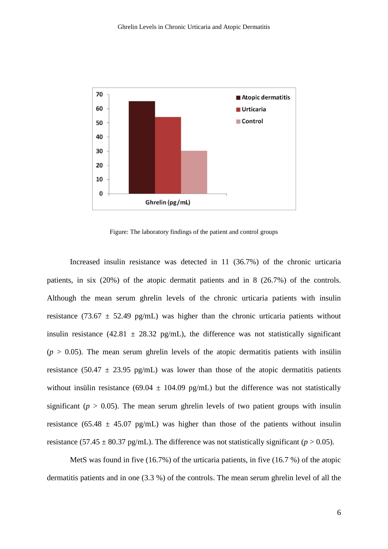

Figure: The laboratory findings of the patient and control groups

Increased insulin resistance was detected in 11 (36.7%) of the chronic urticaria patients, in six (20%) of the atopic dermatit patients and in 8 (26.7%) of the controls. Although the mean serum ghrelin levels of the chronic urticaria patients with insulin resistance (73.67  $\pm$  52.49 pg/mL) was higher than the chronic urticaria patients without insulin resistance (42.81  $\pm$  28.32 pg/mL), the difference was not statistically significant  $(p > 0.05)$ . The mean serum ghrelin levels of the atopic dermatitis patients with insülin resistance (50.47  $\pm$  23.95 pg/mL) was lower than those of the atopic dermatitis patients without insülin resistance (69.04  $\pm$  104.09 pg/mL) but the difference was not statistically significant ( $p > 0.05$ ). The mean serum ghrelin levels of two patient groups with insulin resistance (65.48  $\pm$  45.07 pg/mL) was higher than those of the patients without insulin resistance (57.45  $\pm$  80.37 pg/mL). The difference was not statistically significant ( $p > 0.05$ ).

MetS was found in five (16.7%) of the urticaria patients, in five (16.7 %) of the atopic dermatitis patients and in one (3.3 %) of the controls. The mean serum ghrelin level of all the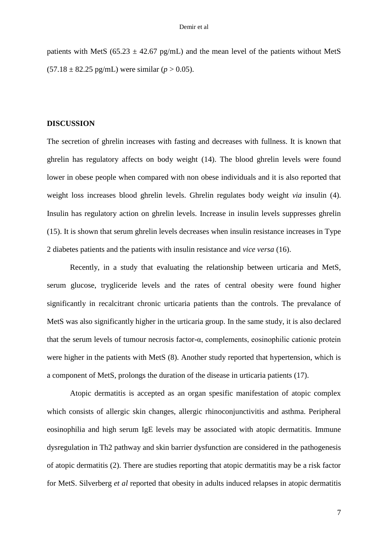patients with MetS (65.23  $\pm$  42.67 pg/mL) and the mean level of the patients without MetS  $(57.18 \pm 82.25 \text{ pg/mL})$  were similar (*p* > 0.05).

#### **DISCUSSION**

The secretion of ghrelin increases with fasting and decreases with fullness. It is known that ghrelin has regulatory affects on body weight (14). The blood ghrelin levels were found lower in obese people when compared with non obese individuals and it is also reported that weight loss increases blood ghrelin levels. Ghrelin regulates body weight *via* insulin (4). Insulin has regulatory action on ghrelin levels. Increase in insulin levels suppresses ghrelin (15). It is shown that serum ghrelin levels decreases when insulin resistance increases in Type 2 diabetes patients and the patients with insulin resistance and *vice versa* (16).

Recently, in a study that evaluating the relationship between urticaria and MetS, serum glucose, trygliceride levels and the rates of central obesity were found higher significantly in recalcitrant chronic urticaria patients than the controls. The prevalance of MetS was also significantly higher in the urticaria group. In the same study, it is also declared that the serum levels of tumour necrosis factor-α, complements, eosinophilic cationic protein were higher in the patients with MetS (8). Another study reported that hypertension, which is a component of MetS, prolongs the duration of the disease in urticaria patients (17).

Atopic dermatitis is accepted as an organ spesific manifestation of atopic complex which consists of allergic skin changes, allergic rhinoconjunctivitis and asthma. Peripheral eosinophilia and high serum IgE levels may be associated with atopic dermatitis. Immune dysregulation in Th2 pathway and skin barrier dysfunction are considered in the pathogenesis of atopic dermatitis (2). There are studies reporting that atopic dermatitis may be a risk factor for MetS. Silverberg *et al* reported that obesity in adults induced relapses in atopic dermatitis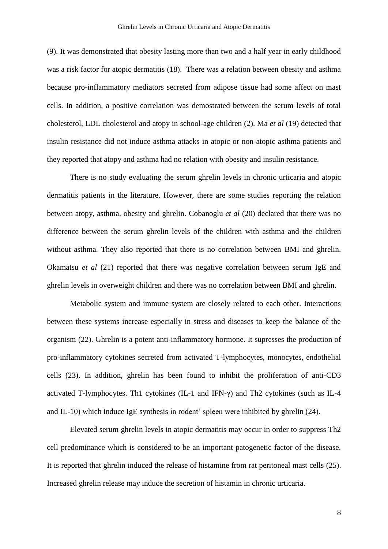(9). It was demonstrated that obesity lasting more than two and a half year in early childhood was a risk factor for atopic dermatitis (18). There was a relation between obesity and asthma because pro-inflammatory mediators secreted from adipose tissue had some affect on mast cells. In addition, a positive correlation was demostrated between the serum levels of total cholesterol, LDL cholesterol and atopy in school-age children (2). Ma *et al* (19) detected that insulin resistance did not induce asthma attacks in atopic or non-atopic asthma patients and they reported that atopy and asthma had no relation with obesity and insulin resistance.

There is no study evaluating the serum ghrelin levels in chronic urticaria and atopic dermatitis patients in the literature. However, there are some studies reporting the relation between atopy, asthma, obesity and ghrelin. Cobanoglu *et al* (20) declared that there was no difference between the serum ghrelin levels of the children with asthma and the children without asthma. They also reported that there is no correlation between BMI and ghrelin. Okamatsu *et al* (21) reported that there was negative correlation between serum IgE and ghrelin levels in overweight children and there was no correlation between BMI and ghrelin.

Metabolic system and immune system are closely related to each other. Interactions between these systems increase especially in stress and diseases to keep the balance of the organism (22). Ghrelin is a potent anti-inflammatory hormone. It supresses the production of pro-inflammatory cytokines secreted from activated T-lymphocytes, monocytes, endothelial cells (23). In addition, ghrelin has been found to inhibit the proliferation of anti-CD3 activated T-lymphocytes. Th1 cytokines (IL-1 and IFN-γ) and Th2 cytokines (such as IL-4 and IL-10) which induce IgE synthesis in rodent' spleen were inhibited by ghrelin (24).

Elevated serum ghrelin levels in atopic dermatitis may occur in order to suppress Th2 cell predominance which is considered to be an important patogenetic factor of the disease. It is reported that ghrelin induced the release of histamine from rat peritoneal mast cells (25). Increased ghrelin release may induce the secretion of histamin in chronic urticaria.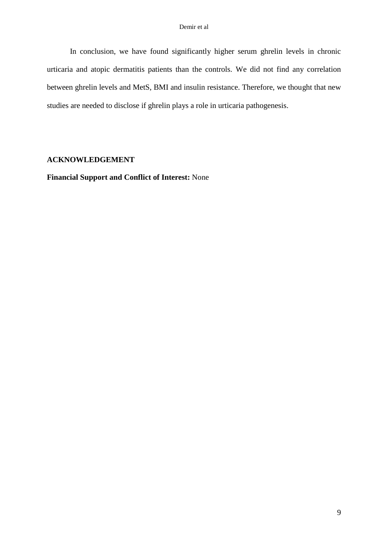In conclusion, we have found significantly higher serum ghrelin levels in chronic urticaria and atopic dermatitis patients than the controls. We did not find any correlation between ghrelin levels and MetS, BMI and insulin resistance. Therefore, we thought that new studies are needed to disclose if ghrelin plays a role in urticaria pathogenesis.

## **ACKNOWLEDGEMENT**

**Financial Support and Conflict of Interest:** None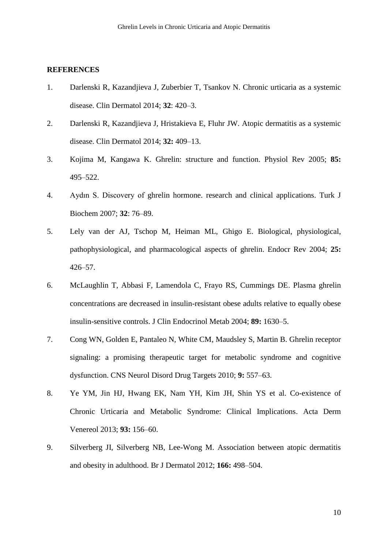### **REFERENCES**

- 1. Darlenski R, Kazandjieva J, Zuberbier T, Tsankov N. Chronic urticaria as a systemic disease. Clin Dermatol 2014; **32**: 420‒3.
- 2. Darlenski R, Kazandjieva J, Hristakieva E, Fluhr JW. Atopic dermatitis as a systemic disease. Clin Dermatol 2014; **32:** 409‒13.
- 3. Kojima M, Kangawa K. Ghrelin: structure and function. Physiol Rev 2005; **85:** 495‒522.
- 4. Aydın S. Discovery of ghrelin hormone. research and clinical applications. Turk J Biochem 2007; **32**: 76‒89.
- 5. Lely van der AJ, Tschop M, Heiman ML, Ghigo E. Biological, physiological, pathophysiological, and pharmacological aspects of ghrelin. Endocr Rev 2004; **25:**  $426 - 57$ .
- 6. McLaughlin T, Abbasi F, Lamendola C, Frayo RS, Cummings DE. Plasma ghrelin concentrations are decreased in insulin-resistant obese adults relative to equally obese insulin-sensitive controls. J Clin Endocrinol Metab 2004; **89:** 1630–5.
- 7. Cong WN, Golden E, Pantaleo N, White CM, Maudsley S, Martin B. Ghrelin receptor signaling: a promising therapeutic target for metabolic syndrome and cognitive dysfunction. CNS Neurol Disord Drug Targets 2010; **9:** 557‒63.
- 8. Ye YM, Jin HJ, Hwang EK, Nam YH, Kim JH, Shin YS et al. Co-existence of Chronic Urticaria and Metabolic Syndrome: Clinical Implications. Acta Derm Venereol 2013; **93:** 156‒60.
- 9. Silverberg JI, Silverberg NB, Lee-Wong M. Association between atopic dermatitis and obesity in adulthood. Br J Dermatol 2012; **166:** 498–504.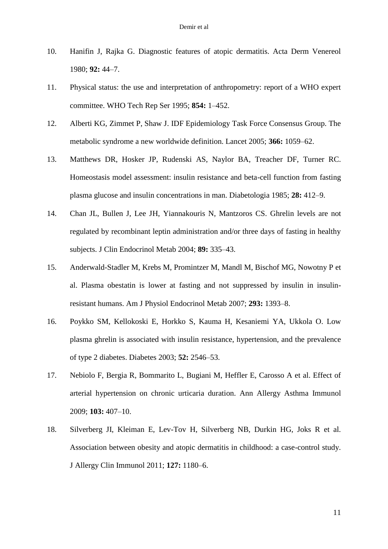- 10. Hanifin J, Rajka G. Diagnostic features of atopic dermatitis. Acta Derm Venereol 1980; **92:** 44‒7.
- 11. Physical status: the use and interpretation of anthropometry: report of a WHO expert committee. WHO Tech Rep Ser 1995; **854:** 1‒452.
- 12. Alberti KG, Zimmet P, Shaw J. IDF Epidemiology Task Force Consensus Group. The metabolic syndrome a new worldwide definition. Lancet 2005; 366: 1059–62.
- 13. Matthews DR, Hosker JP, Rudenski AS, Naylor BA, Treacher DF, Turner RC. Homeostasis model assessment: insulin resistance and beta-cell function from fasting plasma glucose and insulin concentrations in man. Diabetologia 1985; **28:** 412‒9.
- 14. Chan JL, Bullen J, Lee JH, Yiannakouris N, Mantzoros CS. Ghrelin levels are not regulated by recombinant leptin administration and/or three days of fasting in healthy subjects. J Clin Endocrinol Metab 2004; **89:** 335‒43.
- 15. Anderwald-Stadler M, Krebs M, Promintzer M, Mandl M, Bischof MG, Nowotny P et al. Plasma obestatin is lower at fasting and not suppressed by insulin in insulinresistant humans. Am J Physiol Endocrinol Metab 2007; **293:** 1393‒8.
- 16. Poykko SM, Kellokoski E, Horkko S, Kauma H, Kesaniemi YA, Ukkola O. Low plasma ghrelin is associated with insulin resistance, hypertension, and the prevalence of type 2 diabetes. Diabetes 2003; **52:** 2546‒53.
- 17. Nebiolo F, Bergia R, Bommarito L, Bugiani M, Heffler E, Carosso A et al. Effect of arterial hypertension on chronic urticaria duration. Ann Allergy Asthma Immunol 2009; **103:** 407‒10.
- 18. Silverberg JI, Kleiman E, Lev-Tov H, Silverberg NB, Durkin HG, Joks R et al. Association between obesity and atopic dermatitis in childhood: a case-control study. J Allergy Clin Immunol 2011; **127:** 1180‒6.